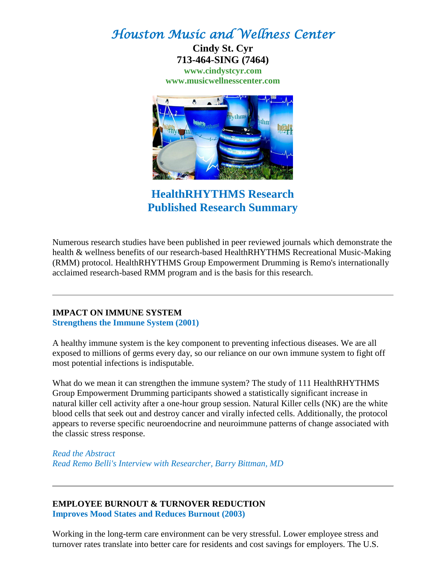# *Houston Music and Wellness Center*

**Cindy St. Cyr 713-464-SING (7464) [www.cindystcyr.com](http://www.cindystcyr.com/) [www.musicwellnesscenter.com](http://www.musicwellnesscenter.com/)**



**HealthRHYTHMS Research Published Research Summary**

Numerous research studies have been published in peer reviewed journals which demonstrate the health & wellness benefits of our research-based HealthRHYTHMS Recreational Music-Making (RMM) protocol. HealthRHYTHMS Group Empowerment Drumming is Remo's internationally acclaimed research-based RMM program and is the basis for this research.

#### **IMPACT ON IMMUNE SYSTEM [Strengthens the Immune System \(2001\)](http://www.remo.com/portal/pages/hr/research/Immune+System.html)**

A healthy immune system is the key component to preventing infectious diseases. We are all exposed to millions of germs every day, so our reliance on our own immune system to fight off most potential infections is indisputable.

What do we mean it can strengthen the immune system? The study of 111 HealthRHYTHMS Group Empowerment Drumming participants showed a statistically significant increase in natural killer cell activity after a one-hour group session. Natural Killer cells (NK) are the white blood cells that seek out and destroy cancer and virally infected cells. Additionally, the protocol appears to reverse specific neuroendocrine and neuroimmune patterns of change associated with the classic stress response.

*[Read the Abstract](http://www.remo.com/portal/pages/hr/research/Immune+System.html) [Read Remo Belli's Interview with Researcher, Barry Bittman, MD](http://www.remo.com/portal/pages/hr/research/Interview+Immune+System.html)*

#### **EMPLOYEE BURNOUT & TURNOVER REDUCTION [Improves Mood States and Reduces Burnout \(2003\)](http://www.remo.com/portal/pages/hr/research/Employee+Burnout.html)**

Working in the long-term care environment can be very stressful. Lower employee stress and turnover rates translate into better care for residents and cost savings for employers. The U.S.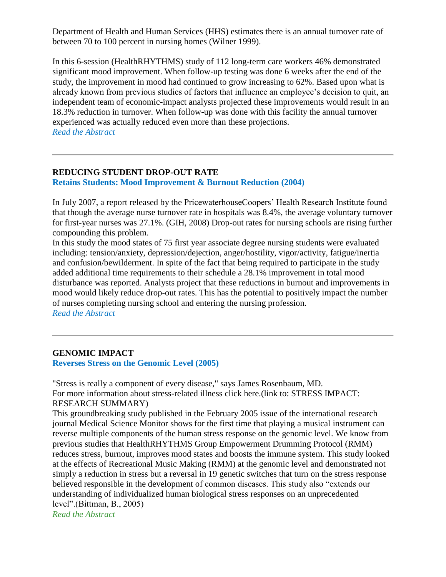Department of Health and Human Services (HHS) estimates there is an annual turnover rate of between 70 to 100 percent in nursing homes (Wilner 1999).

In this 6-session (HealthRHYTHMS) study of 112 long-term care workers 46% demonstrated significant mood improvement. When follow-up testing was done 6 weeks after the end of the study, the improvement in mood had continued to grow increasing to 62%. Based upon what is already known from previous studies of factors that influence an employee's decision to quit, an independent team of economic-impact analysts projected these improvements would result in an 18.3% reduction in turnover. When follow-up was done with this facility the annual turnover experienced was actually reduced even more than these projections. *[Read the Abstract](http://www.remo.com/portal/pages/hr/research/Employee+Burnout.html)*

# **REDUCING STUDENT DROP-OUT RATE**

**[Retains Students: Mood Improvement & Burnout Reduction \(2004\)](http://www.remo.com/portal/pages/hr/research/student-dropout.html)**

In July 2007, a report released by the PricewaterhouseCoopers' Health Research Institute found that though the average nurse turnover rate in hospitals was 8.4%, the average voluntary turnover for first-year nurses was 27.1%. (GIH, 2008) Drop-out rates for nursing schools are rising further compounding this problem.

In this study the mood states of 75 first year associate degree nursing students were evaluated including: tension/anxiety, depression/dejection, anger/hostility, vigor/activity, fatigue/inertia and confusion/bewilderment. In spite of the fact that being required to participate in the study added additional time requirements to their schedule a 28.1% improvement in total mood disturbance was reported. Analysts project that these reductions in burnout and improvements in mood would likely reduce drop-out rates. This has the potential to positively impact the number of nurses completing nursing school and entering the nursing profession. *[Read the Abstract](http://www.remo.com/portal/pages/hr/research/student-dropout.html)*

#### **GENOMIC IMPACT**

**[Reverses Stress on the Genomic Level \(2005\)](http://www.remo.com/portal/pages/hr/HR_research/genomic+stress+impacts.html)**

"Stress is really a component of every disease," says James Rosenbaum, MD. For more information about stress-related illness click here.(link to: STRESS IMPACT: RESEARCH SUMMARY)

This groundbreaking study published in the February 2005 issue of the international research journal Medical Science Monitor shows for the first time that playing a musical instrument can reverse multiple components of the human stress response on the genomic level. We know from previous studies that HealthRHYTHMS Group Empowerment Drumming Protocol (RMM) reduces stress, burnout, improves mood states and boosts the immune system. This study looked at the effects of Recreational Music Making (RMM) at the genomic level and demonstrated not simply a reduction in stress but a reversal in 19 genetic switches that turn on the stress response believed responsible in the development of common diseases. This study also "extends our understanding of individualized human biological stress responses on an unprecedented level".(Bittman, B., 2005)

*[Read the Abstract](http://www.remo.com/portal/pages/hr/HR_research/genomic+stress+impacts.html)*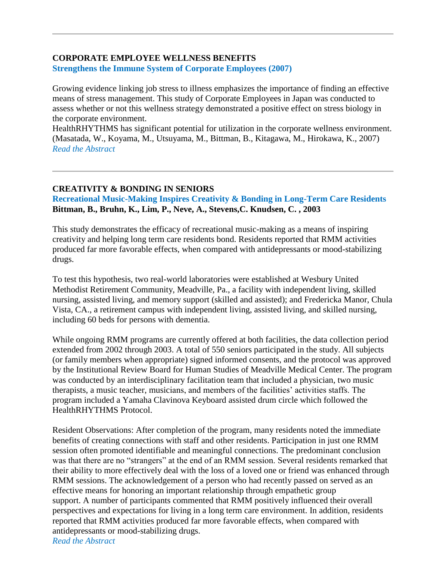#### **CORPORATE EMPLOYEE WELLNESS BENEFITS [Strengthens the Immune System of Corporate Employees \(2007\)](http://www.remo.com/portal/pages/hr/research/Corporate+Impact.html)**

Growing evidence linking job stress to illness emphasizes the importance of finding an effective means of stress management. This study of Corporate Employees in Japan was conducted to assess whether or not this wellness strategy demonstrated a positive effect on stress biology in the corporate environment.

HealthRHYTHMS has significant potential for utilization in the corporate wellness environment. (Masatada, W., Koyama, M., Utsuyama, M., Bittman, B., Kitagawa, M., Hirokawa, K., 2007) *[Read the Abstract](http://www.remo.com/portal/pages/hr/research/Corporate+Impact.html)*

## **CREATIVITY & BONDING IN SENIORS**

**[Recreational Music-Making Inspires Creativity & Bonding in Long-Term Care Residents](http://www.remo.com/portal/pages/hr/research/Creativity+Bonding+Seniors.html) Bittman, B., Bruhn, K., Lim, P., Neve, A., Stevens,C. Knudsen, C. , 2003**

This study demonstrates the efficacy of recreational music-making as a means of inspiring creativity and helping long term care residents bond. Residents reported that RMM activities produced far more favorable effects, when compared with antidepressants or mood-stabilizing drugs.

To test this hypothesis, two real-world laboratories were established at Wesbury United Methodist Retirement Community, Meadville, Pa., a facility with independent living, skilled nursing, assisted living, and memory support (skilled and assisted); and Fredericka Manor, Chula Vista, CA., a retirement campus with independent living, assisted living, and skilled nursing, including 60 beds for persons with dementia.

While ongoing RMM programs are currently offered at both facilities, the data collection period extended from 2002 through 2003. A total of 550 seniors participated in the study. All subjects (or family members when appropriate) signed informed consents, and the protocol was approved by the Institutional Review Board for Human Studies of Meadville Medical Center. The program was conducted by an interdisciplinary facilitation team that included a physician, two music therapists, a music teacher, musicians, and members of the facilities' activities staffs. The program included a Yamaha Clavinova Keyboard assisted drum circle which followed the HealthRHYTHMS Protocol.

Resident Observations: After completion of the program, many residents noted the immediate benefits of creating connections with staff and other residents. Participation in just one RMM session often promoted identifiable and meaningful connections. The predominant conclusion was that there are no "strangers" at the end of an RMM session. Several residents remarked that their ability to more effectively deal with the loss of a loved one or friend was enhanced through RMM sessions. The acknowledgement of a person who had recently passed on served as an effective means for honoring an important relationship through empathetic group support. A number of participants commented that RMM positively influenced their overall perspectives and expectations for living in a long term care environment. In addition, residents reported that RMM activities produced far more favorable effects, when compared with antidepressants or mood-stabilizing drugs. *[Read the Abstract](http://www.remo.com/portal/pages/hr/research/Creativity+Bonding+Seniors.html)*